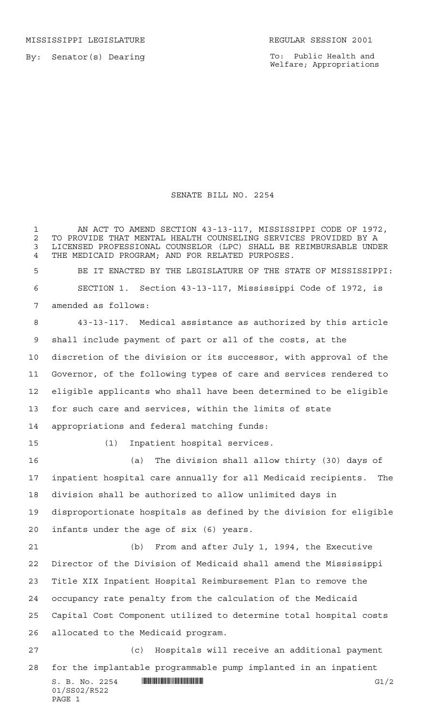MISSISSIPPI LEGISLATURE **REGULAR SESSION 2001** 

By: Senator(s) Dearing

To: Public Health and Welfare; Appropriations

## SENATE BILL NO. 2254

 $S. B. No. 2254$   $\qquad$   $\qquad$   $\qquad$   $\qquad$   $\qquad$   $\qquad$   $\qquad$   $\qquad$   $\qquad$   $\qquad$   $\qquad$   $\qquad$   $\qquad$   $\qquad$   $\qquad$   $\qquad$   $\qquad$   $\qquad$   $\qquad$   $\qquad$   $\qquad$   $\qquad$   $\qquad$   $\qquad$   $\qquad$   $\qquad$   $\qquad$   $\qquad$   $\qquad$   $\qquad$   $\qquad$   $\qquad$   $\qquad$   $\qquad$   $\q$ 01/SS02/R522 PAGE 1 1 AN ACT TO AMEND SECTION 43-13-117, MISSISSIPPI CODE OF 1972, 2 TO PROVIDE THAT MENTAL HEALTH COUNSELING SERVICES PROVIDED BY A<br>3 LICENSED PROFESSIONAL COUNSELOR (LPC) SHALL BE REIMBURSABLE UNDI LICENSED PROFESSIONAL COUNSELOR (LPC) SHALL BE REIMBURSABLE UNDER THE MEDICAID PROGRAM; AND FOR RELATED PURPOSES. BE IT ENACTED BY THE LEGISLATURE OF THE STATE OF MISSISSIPPI: SECTION 1. Section 43-13-117, Mississippi Code of 1972, is amended as follows: 43-13-117. Medical assistance as authorized by this article shall include payment of part or all of the costs, at the discretion of the division or its successor, with approval of the Governor, of the following types of care and services rendered to eligible applicants who shall have been determined to be eligible for such care and services, within the limits of state appropriations and federal matching funds: (1) Inpatient hospital services. (a) The division shall allow thirty (30) days of inpatient hospital care annually for all Medicaid recipients. The division shall be authorized to allow unlimited days in disproportionate hospitals as defined by the division for eligible infants under the age of six (6) years. (b) From and after July 1, 1994, the Executive Director of the Division of Medicaid shall amend the Mississippi Title XIX Inpatient Hospital Reimbursement Plan to remove the occupancy rate penalty from the calculation of the Medicaid Capital Cost Component utilized to determine total hospital costs allocated to the Medicaid program. (c) Hospitals will receive an additional payment for the implantable programmable pump implanted in an inpatient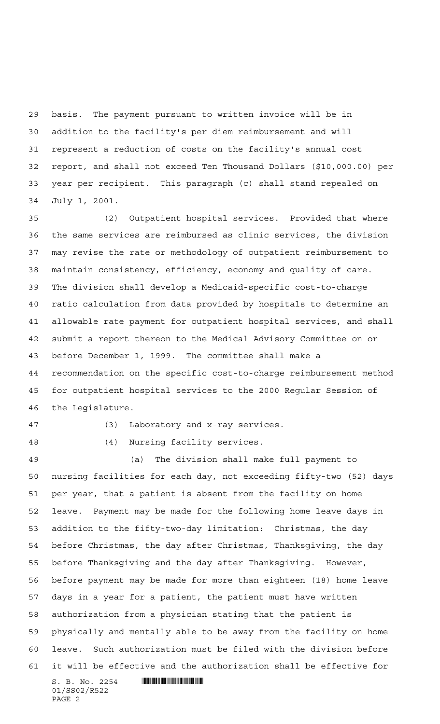basis. The payment pursuant to written invoice will be in addition to the facility's per diem reimbursement and will represent a reduction of costs on the facility's annual cost report, and shall not exceed Ten Thousand Dollars (\$10,000.00) per year per recipient. This paragraph (c) shall stand repealed on July 1, 2001.

 (2) Outpatient hospital services. Provided that where the same services are reimbursed as clinic services, the division may revise the rate or methodology of outpatient reimbursement to maintain consistency, efficiency, economy and quality of care. The division shall develop a Medicaid-specific cost-to-charge ratio calculation from data provided by hospitals to determine an allowable rate payment for outpatient hospital services, and shall submit a report thereon to the Medical Advisory Committee on or before December 1, 1999. The committee shall make a recommendation on the specific cost-to-charge reimbursement method for outpatient hospital services to the 2000 Regular Session of the Legislature.

(3) Laboratory and x-ray services.

(4) Nursing facility services.

 $S. B. No. 2254$  . Soc. 2254 (a) The division shall make full payment to nursing facilities for each day, not exceeding fifty-two (52) days per year, that a patient is absent from the facility on home leave. Payment may be made for the following home leave days in addition to the fifty-two-day limitation: Christmas, the day before Christmas, the day after Christmas, Thanksgiving, the day before Thanksgiving and the day after Thanksgiving. However, before payment may be made for more than eighteen (18) home leave days in a year for a patient, the patient must have written authorization from a physician stating that the patient is physically and mentally able to be away from the facility on home leave. Such authorization must be filed with the division before it will be effective and the authorization shall be effective for

01/SS02/R522 PAGE 2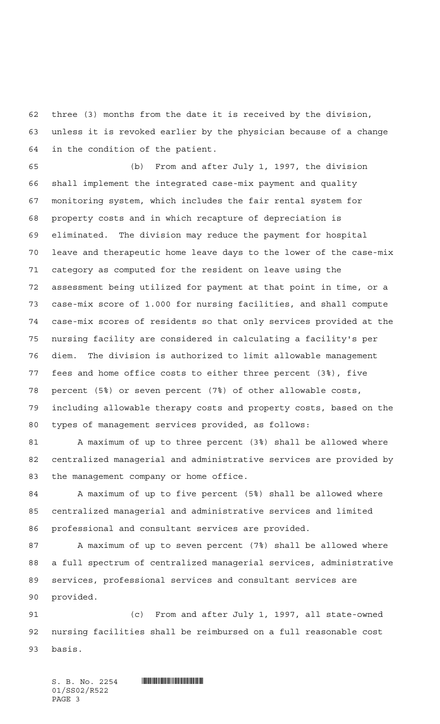three (3) months from the date it is received by the division, unless it is revoked earlier by the physician because of a change in the condition of the patient.

 (b) From and after July 1, 1997, the division shall implement the integrated case-mix payment and quality monitoring system, which includes the fair rental system for property costs and in which recapture of depreciation is eliminated. The division may reduce the payment for hospital leave and therapeutic home leave days to the lower of the case-mix category as computed for the resident on leave using the assessment being utilized for payment at that point in time, or a case-mix score of 1.000 for nursing facilities, and shall compute case-mix scores of residents so that only services provided at the nursing facility are considered in calculating a facility's per diem. The division is authorized to limit allowable management fees and home office costs to either three percent (3%), five percent (5%) or seven percent (7%) of other allowable costs, including allowable therapy costs and property costs, based on the types of management services provided, as follows:

 A maximum of up to three percent (3%) shall be allowed where centralized managerial and administrative services are provided by the management company or home office.

 A maximum of up to five percent (5%) shall be allowed where centralized managerial and administrative services and limited professional and consultant services are provided.

87 A maximum of up to seven percent (7%) shall be allowed where a full spectrum of centralized managerial services, administrative services, professional services and consultant services are provided.

 (c) From and after July 1, 1997, all state-owned nursing facilities shall be reimbursed on a full reasonable cost basis.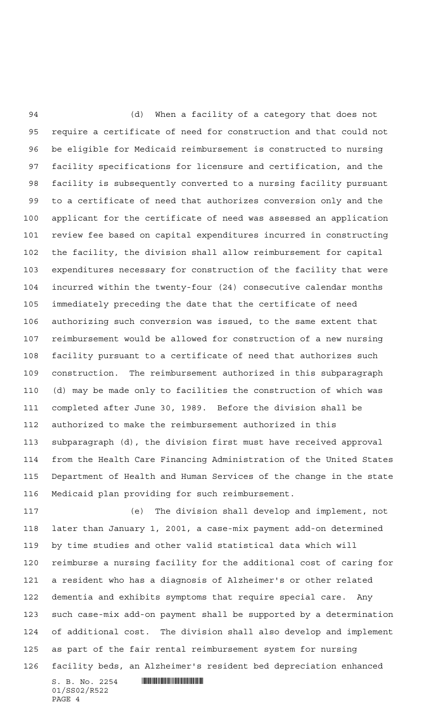(d) When a facility of a category that does not require a certificate of need for construction and that could not be eligible for Medicaid reimbursement is constructed to nursing facility specifications for licensure and certification, and the facility is subsequently converted to a nursing facility pursuant to a certificate of need that authorizes conversion only and the applicant for the certificate of need was assessed an application review fee based on capital expenditures incurred in constructing the facility, the division shall allow reimbursement for capital expenditures necessary for construction of the facility that were incurred within the twenty-four (24) consecutive calendar months immediately preceding the date that the certificate of need authorizing such conversion was issued, to the same extent that reimbursement would be allowed for construction of a new nursing facility pursuant to a certificate of need that authorizes such construction. The reimbursement authorized in this subparagraph (d) may be made only to facilities the construction of which was completed after June 30, 1989. Before the division shall be authorized to make the reimbursement authorized in this subparagraph (d), the division first must have received approval from the Health Care Financing Administration of the United States Department of Health and Human Services of the change in the state Medicaid plan providing for such reimbursement.

 $S. B. No. 2254$  . Soc. 2254 (e) The division shall develop and implement, not later than January 1, 2001, a case-mix payment add-on determined by time studies and other valid statistical data which will reimburse a nursing facility for the additional cost of caring for a resident who has a diagnosis of Alzheimer's or other related dementia and exhibits symptoms that require special care. Any such case-mix add-on payment shall be supported by a determination of additional cost. The division shall also develop and implement as part of the fair rental reimbursement system for nursing facility beds, an Alzheimer's resident bed depreciation enhanced

01/SS02/R522 PAGE 4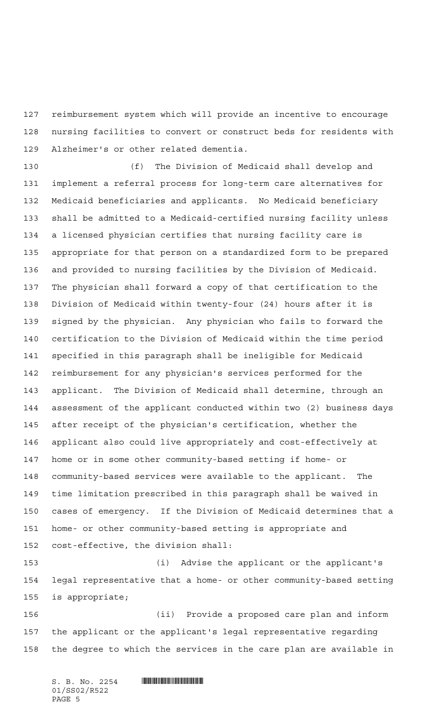reimbursement system which will provide an incentive to encourage nursing facilities to convert or construct beds for residents with Alzheimer's or other related dementia.

 (f) The Division of Medicaid shall develop and implement a referral process for long-term care alternatives for Medicaid beneficiaries and applicants. No Medicaid beneficiary shall be admitted to a Medicaid-certified nursing facility unless a licensed physician certifies that nursing facility care is appropriate for that person on a standardized form to be prepared and provided to nursing facilities by the Division of Medicaid. The physician shall forward a copy of that certification to the Division of Medicaid within twenty-four (24) hours after it is signed by the physician. Any physician who fails to forward the certification to the Division of Medicaid within the time period specified in this paragraph shall be ineligible for Medicaid reimbursement for any physician's services performed for the applicant. The Division of Medicaid shall determine, through an assessment of the applicant conducted within two (2) business days after receipt of the physician's certification, whether the applicant also could live appropriately and cost-effectively at home or in some other community-based setting if home- or community-based services were available to the applicant. The time limitation prescribed in this paragraph shall be waived in cases of emergency. If the Division of Medicaid determines that a home- or other community-based setting is appropriate and cost-effective, the division shall:

 (i) Advise the applicant or the applicant's legal representative that a home- or other community-based setting is appropriate;

 (ii) Provide a proposed care plan and inform the applicant or the applicant's legal representative regarding the degree to which the services in the care plan are available in

 $S. B. No. 2254$  . Suppose the set of  $S. B. N \circ A. 2254$ 01/SS02/R522 PAGE 5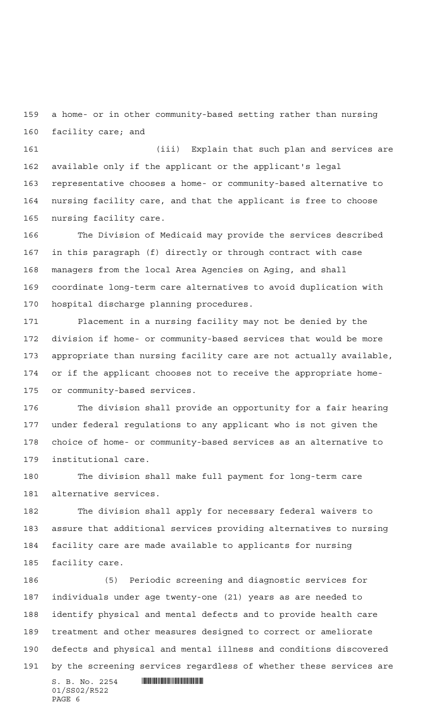a home- or in other community-based setting rather than nursing facility care; and

 (iii) Explain that such plan and services are available only if the applicant or the applicant's legal representative chooses a home- or community-based alternative to nursing facility care, and that the applicant is free to choose nursing facility care.

 The Division of Medicaid may provide the services described in this paragraph (f) directly or through contract with case managers from the local Area Agencies on Aging, and shall coordinate long-term care alternatives to avoid duplication with hospital discharge planning procedures.

 Placement in a nursing facility may not be denied by the division if home- or community-based services that would be more appropriate than nursing facility care are not actually available, or if the applicant chooses not to receive the appropriate home-or community-based services.

 The division shall provide an opportunity for a fair hearing under federal regulations to any applicant who is not given the choice of home- or community-based services as an alternative to institutional care.

 The division shall make full payment for long-term care alternative services.

 The division shall apply for necessary federal waivers to assure that additional services providing alternatives to nursing facility care are made available to applicants for nursing facility care.

 (5) Periodic screening and diagnostic services for individuals under age twenty-one (21) years as are needed to identify physical and mental defects and to provide health care treatment and other measures designed to correct or ameliorate defects and physical and mental illness and conditions discovered by the screening services regardless of whether these services are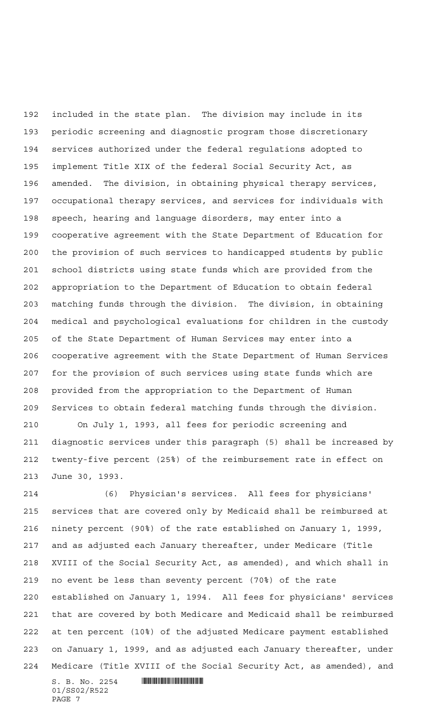included in the state plan. The division may include in its periodic screening and diagnostic program those discretionary services authorized under the federal regulations adopted to implement Title XIX of the federal Social Security Act, as amended. The division, in obtaining physical therapy services, occupational therapy services, and services for individuals with speech, hearing and language disorders, may enter into a cooperative agreement with the State Department of Education for the provision of such services to handicapped students by public school districts using state funds which are provided from the appropriation to the Department of Education to obtain federal matching funds through the division. The division, in obtaining medical and psychological evaluations for children in the custody of the State Department of Human Services may enter into a cooperative agreement with the State Department of Human Services for the provision of such services using state funds which are provided from the appropriation to the Department of Human Services to obtain federal matching funds through the division.

 On July 1, 1993, all fees for periodic screening and diagnostic services under this paragraph (5) shall be increased by twenty-five percent (25%) of the reimbursement rate in effect on June 30, 1993.

 (6) Physician's services. All fees for physicians' services that are covered only by Medicaid shall be reimbursed at ninety percent (90%) of the rate established on January 1, 1999, and as adjusted each January thereafter, under Medicare (Title XVIII of the Social Security Act, as amended), and which shall in no event be less than seventy percent (70%) of the rate established on January 1, 1994. All fees for physicians' services that are covered by both Medicare and Medicaid shall be reimbursed at ten percent (10%) of the adjusted Medicare payment established on January 1, 1999, and as adjusted each January thereafter, under Medicare (Title XVIII of the Social Security Act, as amended), and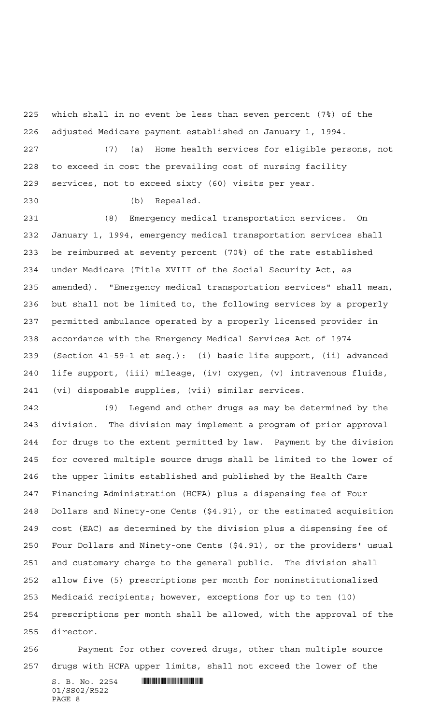which shall in no event be less than seven percent (7%) of the adjusted Medicare payment established on January 1, 1994.

 (7) (a) Home health services for eligible persons, not to exceed in cost the prevailing cost of nursing facility services, not to exceed sixty (60) visits per year.

(b) Repealed.

 (8) Emergency medical transportation services. On January 1, 1994, emergency medical transportation services shall be reimbursed at seventy percent (70%) of the rate established under Medicare (Title XVIII of the Social Security Act, as amended). "Emergency medical transportation services" shall mean, but shall not be limited to, the following services by a properly permitted ambulance operated by a properly licensed provider in accordance with the Emergency Medical Services Act of 1974 (Section 41-59-1 et seq.): (i) basic life support, (ii) advanced life support, (iii) mileage, (iv) oxygen, (v) intravenous fluids, (vi) disposable supplies, (vii) similar services.

 (9) Legend and other drugs as may be determined by the division. The division may implement a program of prior approval for drugs to the extent permitted by law. Payment by the division for covered multiple source drugs shall be limited to the lower of the upper limits established and published by the Health Care Financing Administration (HCFA) plus a dispensing fee of Four Dollars and Ninety-one Cents (\$4.91), or the estimated acquisition cost (EAC) as determined by the division plus a dispensing fee of Four Dollars and Ninety-one Cents (\$4.91), or the providers' usual and customary charge to the general public. The division shall allow five (5) prescriptions per month for noninstitutionalized Medicaid recipients; however, exceptions for up to ten (10) prescriptions per month shall be allowed, with the approval of the director.

 Payment for other covered drugs, other than multiple source drugs with HCFA upper limits, shall not exceed the lower of the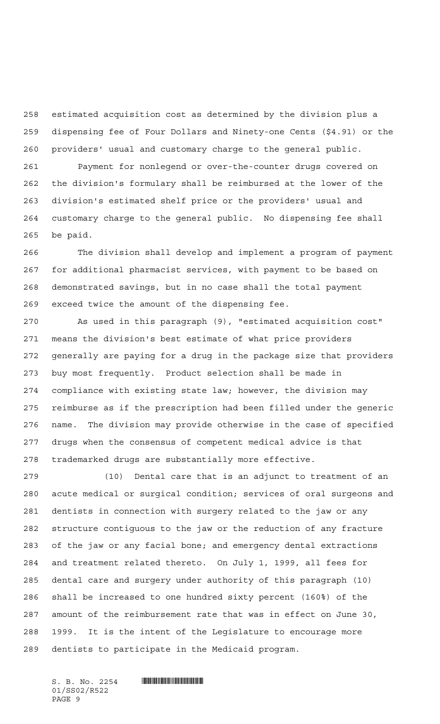estimated acquisition cost as determined by the division plus a dispensing fee of Four Dollars and Ninety-one Cents (\$4.91) or the providers' usual and customary charge to the general public.

 Payment for nonlegend or over-the-counter drugs covered on the division's formulary shall be reimbursed at the lower of the division's estimated shelf price or the providers' usual and customary charge to the general public. No dispensing fee shall be paid.

 The division shall develop and implement a program of payment for additional pharmacist services, with payment to be based on demonstrated savings, but in no case shall the total payment exceed twice the amount of the dispensing fee.

 As used in this paragraph (9), "estimated acquisition cost" means the division's best estimate of what price providers generally are paying for a drug in the package size that providers buy most frequently. Product selection shall be made in compliance with existing state law; however, the division may reimburse as if the prescription had been filled under the generic name. The division may provide otherwise in the case of specified drugs when the consensus of competent medical advice is that trademarked drugs are substantially more effective.

 (10) Dental care that is an adjunct to treatment of an acute medical or surgical condition; services of oral surgeons and dentists in connection with surgery related to the jaw or any structure contiguous to the jaw or the reduction of any fracture of the jaw or any facial bone; and emergency dental extractions and treatment related thereto. On July 1, 1999, all fees for dental care and surgery under authority of this paragraph (10) shall be increased to one hundred sixty percent (160%) of the amount of the reimbursement rate that was in effect on June 30, 1999. It is the intent of the Legislature to encourage more dentists to participate in the Medicaid program.

01/SS02/R522 PAGE 9

 $S. B. No. 2254$  . Suppose the set of  $S. B. N \circ A. 2254$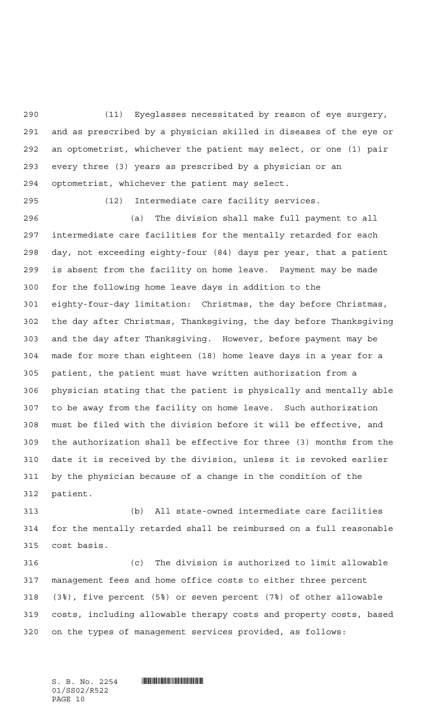(11) Eyeglasses necessitated by reason of eye surgery, and as prescribed by a physician skilled in diseases of the eye or an optometrist, whichever the patient may select, or one (1) pair every three (3) years as prescribed by a physician or an optometrist, whichever the patient may select.

(12) Intermediate care facility services.

 (a) The division shall make full payment to all intermediate care facilities for the mentally retarded for each day, not exceeding eighty-four (84) days per year, that a patient is absent from the facility on home leave. Payment may be made for the following home leave days in addition to the eighty-four-day limitation: Christmas, the day before Christmas, the day after Christmas, Thanksgiving, the day before Thanksgiving and the day after Thanksgiving. However, before payment may be made for more than eighteen (18) home leave days in a year for a patient, the patient must have written authorization from a physician stating that the patient is physically and mentally able to be away from the facility on home leave. Such authorization must be filed with the division before it will be effective, and the authorization shall be effective for three (3) months from the date it is received by the division, unless it is revoked earlier by the physician because of a change in the condition of the patient.

 (b) All state-owned intermediate care facilities for the mentally retarded shall be reimbursed on a full reasonable cost basis.

 (c) The division is authorized to limit allowable management fees and home office costs to either three percent (3%), five percent (5%) or seven percent (7%) of other allowable costs, including allowable therapy costs and property costs, based on the types of management services provided, as follows:

01/SS02/R522 PAGE 10

 $S. B. No. 2254$  . So  $S. 2254$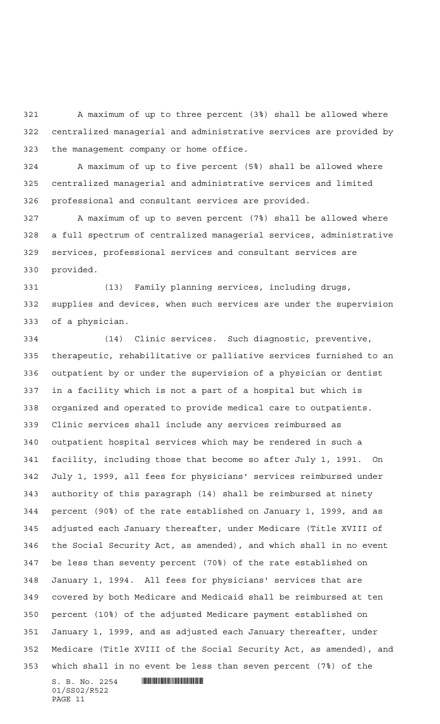A maximum of up to three percent (3%) shall be allowed where centralized managerial and administrative services are provided by the management company or home office.

 A maximum of up to five percent (5%) shall be allowed where centralized managerial and administrative services and limited professional and consultant services are provided.

 A maximum of up to seven percent (7%) shall be allowed where a full spectrum of centralized managerial services, administrative services, professional services and consultant services are provided.

 (13) Family planning services, including drugs, supplies and devices, when such services are under the supervision of a physician.

 $S. B. No. 2254$  . Soc. 2254 (14) Clinic services. Such diagnostic, preventive, therapeutic, rehabilitative or palliative services furnished to an outpatient by or under the supervision of a physician or dentist in a facility which is not a part of a hospital but which is organized and operated to provide medical care to outpatients. Clinic services shall include any services reimbursed as outpatient hospital services which may be rendered in such a facility, including those that become so after July 1, 1991. On July 1, 1999, all fees for physicians' services reimbursed under authority of this paragraph (14) shall be reimbursed at ninety percent (90%) of the rate established on January 1, 1999, and as adjusted each January thereafter, under Medicare (Title XVIII of the Social Security Act, as amended), and which shall in no event be less than seventy percent (70%) of the rate established on January 1, 1994. All fees for physicians' services that are covered by both Medicare and Medicaid shall be reimbursed at ten percent (10%) of the adjusted Medicare payment established on January 1, 1999, and as adjusted each January thereafter, under Medicare (Title XVIII of the Social Security Act, as amended), and which shall in no event be less than seven percent (7%) of the

01/SS02/R522 PAGE 11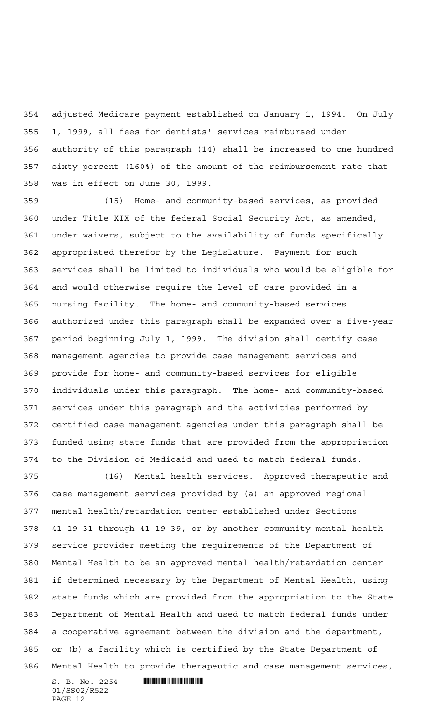adjusted Medicare payment established on January 1, 1994. On July 1, 1999, all fees for dentists' services reimbursed under authority of this paragraph (14) shall be increased to one hundred sixty percent (160%) of the amount of the reimbursement rate that was in effect on June 30, 1999.

 (15) Home- and community-based services, as provided under Title XIX of the federal Social Security Act, as amended, under waivers, subject to the availability of funds specifically appropriated therefor by the Legislature. Payment for such services shall be limited to individuals who would be eligible for and would otherwise require the level of care provided in a nursing facility. The home- and community-based services authorized under this paragraph shall be expanded over a five-year period beginning July 1, 1999. The division shall certify case management agencies to provide case management services and provide for home- and community-based services for eligible individuals under this paragraph. The home- and community-based services under this paragraph and the activities performed by certified case management agencies under this paragraph shall be funded using state funds that are provided from the appropriation to the Division of Medicaid and used to match federal funds.

 (16) Mental health services. Approved therapeutic and case management services provided by (a) an approved regional mental health/retardation center established under Sections 41-19-31 through 41-19-39, or by another community mental health service provider meeting the requirements of the Department of Mental Health to be an approved mental health/retardation center if determined necessary by the Department of Mental Health, using state funds which are provided from the appropriation to the State Department of Mental Health and used to match federal funds under a cooperative agreement between the division and the department, or (b) a facility which is certified by the State Department of Mental Health to provide therapeutic and case management services,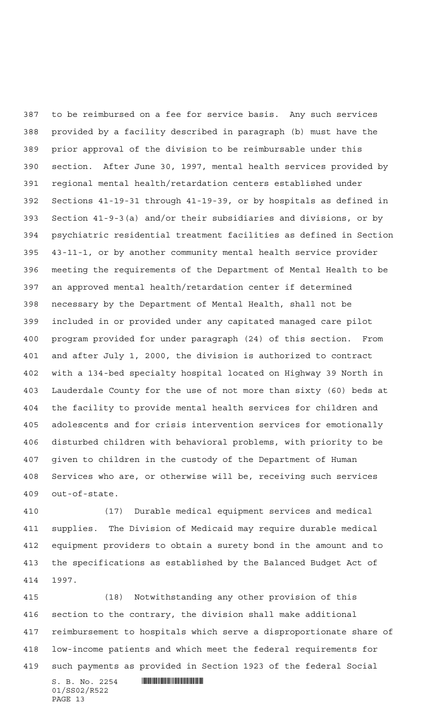to be reimbursed on a fee for service basis. Any such services provided by a facility described in paragraph (b) must have the prior approval of the division to be reimbursable under this section. After June 30, 1997, mental health services provided by regional mental health/retardation centers established under Sections 41-19-31 through 41-19-39, or by hospitals as defined in Section 41-9-3(a) and/or their subsidiaries and divisions, or by psychiatric residential treatment facilities as defined in Section 43-11-1, or by another community mental health service provider meeting the requirements of the Department of Mental Health to be an approved mental health/retardation center if determined necessary by the Department of Mental Health, shall not be included in or provided under any capitated managed care pilot program provided for under paragraph (24) of this section. From and after July 1, 2000, the division is authorized to contract with a 134-bed specialty hospital located on Highway 39 North in Lauderdale County for the use of not more than sixty (60) beds at the facility to provide mental health services for children and adolescents and for crisis intervention services for emotionally disturbed children with behavioral problems, with priority to be given to children in the custody of the Department of Human Services who are, or otherwise will be, receiving such services out-of-state.

 (17) Durable medical equipment services and medical supplies. The Division of Medicaid may require durable medical equipment providers to obtain a surety bond in the amount and to the specifications as established by the Balanced Budget Act of 1997.

 (18) Notwithstanding any other provision of this section to the contrary, the division shall make additional reimbursement to hospitals which serve a disproportionate share of low-income patients and which meet the federal requirements for such payments as provided in Section 1923 of the federal Social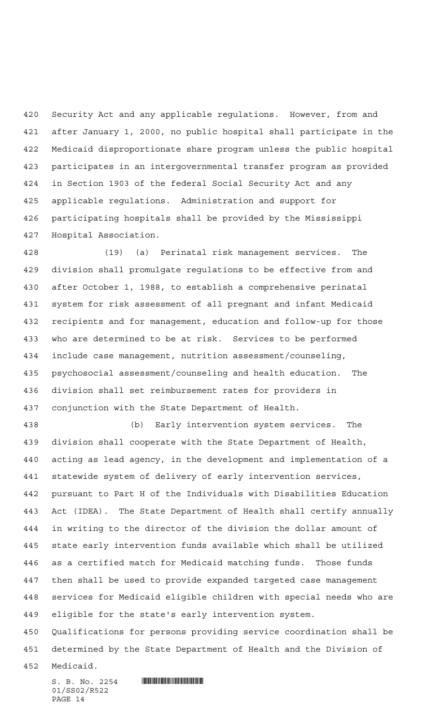Security Act and any applicable regulations. However, from and after January 1, 2000, no public hospital shall participate in the Medicaid disproportionate share program unless the public hospital participates in an intergovernmental transfer program as provided in Section 1903 of the federal Social Security Act and any applicable regulations. Administration and support for participating hospitals shall be provided by the Mississippi Hospital Association.

 (19) (a) Perinatal risk management services. The division shall promulgate regulations to be effective from and after October 1, 1988, to establish a comprehensive perinatal system for risk assessment of all pregnant and infant Medicaid recipients and for management, education and follow-up for those who are determined to be at risk. Services to be performed include case management, nutrition assessment/counseling, psychosocial assessment/counseling and health education. The division shall set reimbursement rates for providers in conjunction with the State Department of Health.

 (b) Early intervention system services. The division shall cooperate with the State Department of Health, acting as lead agency, in the development and implementation of a statewide system of delivery of early intervention services, pursuant to Part H of the Individuals with Disabilities Education Act (IDEA). The State Department of Health shall certify annually in writing to the director of the division the dollar amount of state early intervention funds available which shall be utilized as a certified match for Medicaid matching funds. Those funds then shall be used to provide expanded targeted case management services for Medicaid eligible children with special needs who are eligible for the state's early intervention system.

 Qualifications for persons providing service coordination shall be determined by the State Department of Health and the Division of

Medicaid.

01/SS02/R522 PAGE 14

 $S. B. No. 2254$  . Soc. 2254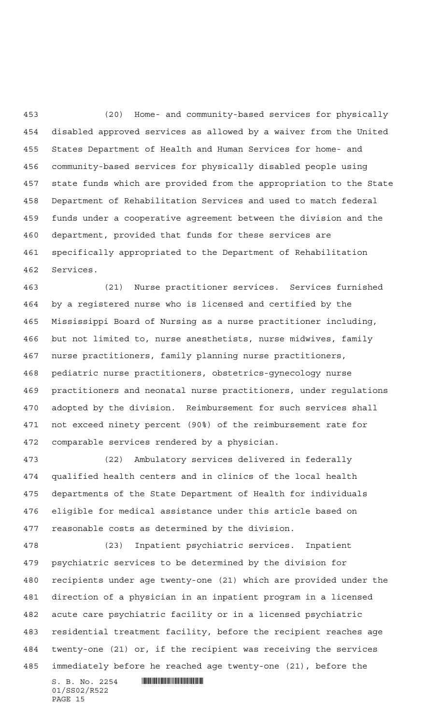(20) Home- and community-based services for physically disabled approved services as allowed by a waiver from the United States Department of Health and Human Services for home- and community-based services for physically disabled people using state funds which are provided from the appropriation to the State Department of Rehabilitation Services and used to match federal funds under a cooperative agreement between the division and the department, provided that funds for these services are specifically appropriated to the Department of Rehabilitation Services.

 (21) Nurse practitioner services. Services furnished by a registered nurse who is licensed and certified by the Mississippi Board of Nursing as a nurse practitioner including, but not limited to, nurse anesthetists, nurse midwives, family nurse practitioners, family planning nurse practitioners, pediatric nurse practitioners, obstetrics-gynecology nurse practitioners and neonatal nurse practitioners, under regulations adopted by the division. Reimbursement for such services shall not exceed ninety percent (90%) of the reimbursement rate for comparable services rendered by a physician.

 (22) Ambulatory services delivered in federally qualified health centers and in clinics of the local health departments of the State Department of Health for individuals eligible for medical assistance under this article based on reasonable costs as determined by the division.

 (23) Inpatient psychiatric services. Inpatient psychiatric services to be determined by the division for recipients under age twenty-one (21) which are provided under the direction of a physician in an inpatient program in a licensed acute care psychiatric facility or in a licensed psychiatric residential treatment facility, before the recipient reaches age twenty-one (21) or, if the recipient was receiving the services immediately before he reached age twenty-one (21), before the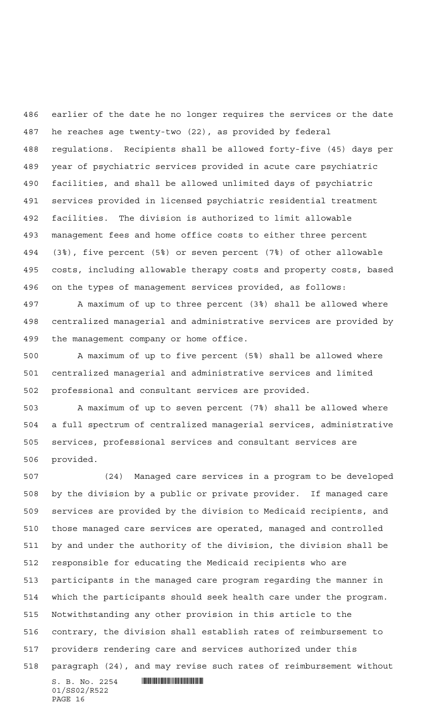earlier of the date he no longer requires the services or the date he reaches age twenty-two (22), as provided by federal regulations. Recipients shall be allowed forty-five (45) days per year of psychiatric services provided in acute care psychiatric facilities, and shall be allowed unlimited days of psychiatric services provided in licensed psychiatric residential treatment facilities. The division is authorized to limit allowable management fees and home office costs to either three percent (3%), five percent (5%) or seven percent (7%) of other allowable costs, including allowable therapy costs and property costs, based on the types of management services provided, as follows:

 A maximum of up to three percent (3%) shall be allowed where centralized managerial and administrative services are provided by the management company or home office.

 A maximum of up to five percent (5%) shall be allowed where centralized managerial and administrative services and limited professional and consultant services are provided.

 A maximum of up to seven percent (7%) shall be allowed where a full spectrum of centralized managerial services, administrative services, professional services and consultant services are provided.

 $S. B. No. 2254$  . Soc. 2254 (24) Managed care services in a program to be developed by the division by a public or private provider. If managed care services are provided by the division to Medicaid recipients, and those managed care services are operated, managed and controlled by and under the authority of the division, the division shall be responsible for educating the Medicaid recipients who are participants in the managed care program regarding the manner in which the participants should seek health care under the program. Notwithstanding any other provision in this article to the contrary, the division shall establish rates of reimbursement to providers rendering care and services authorized under this paragraph (24), and may revise such rates of reimbursement without

01/SS02/R522 PAGE 16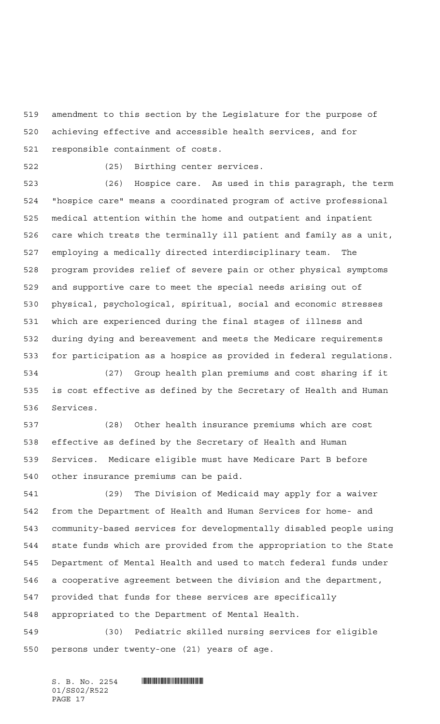amendment to this section by the Legislature for the purpose of achieving effective and accessible health services, and for responsible containment of costs.

(25) Birthing center services.

 (26) Hospice care. As used in this paragraph, the term "hospice care" means a coordinated program of active professional medical attention within the home and outpatient and inpatient care which treats the terminally ill patient and family as a unit, employing a medically directed interdisciplinary team. The program provides relief of severe pain or other physical symptoms and supportive care to meet the special needs arising out of physical, psychological, spiritual, social and economic stresses which are experienced during the final stages of illness and during dying and bereavement and meets the Medicare requirements for participation as a hospice as provided in federal regulations.

 (27) Group health plan premiums and cost sharing if it is cost effective as defined by the Secretary of Health and Human Services.

 (28) Other health insurance premiums which are cost effective as defined by the Secretary of Health and Human Services. Medicare eligible must have Medicare Part B before other insurance premiums can be paid.

 (29) The Division of Medicaid may apply for a waiver from the Department of Health and Human Services for home- and community-based services for developmentally disabled people using state funds which are provided from the appropriation to the State Department of Mental Health and used to match federal funds under a cooperative agreement between the division and the department, provided that funds for these services are specifically appropriated to the Department of Mental Health.

 (30) Pediatric skilled nursing services for eligible persons under twenty-one (21) years of age.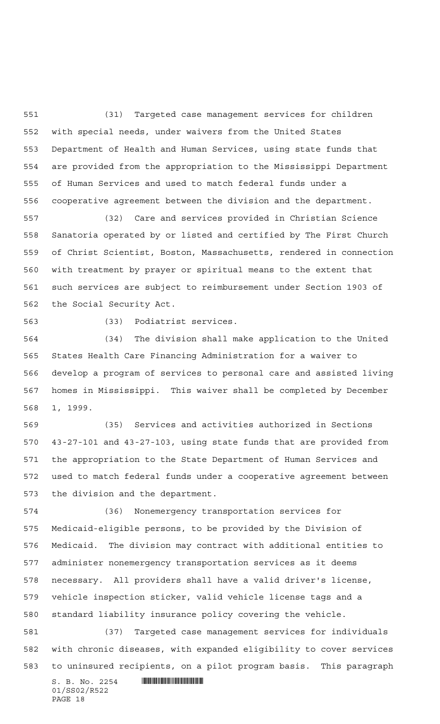(31) Targeted case management services for children with special needs, under waivers from the United States Department of Health and Human Services, using state funds that are provided from the appropriation to the Mississippi Department of Human Services and used to match federal funds under a cooperative agreement between the division and the department.

 (32) Care and services provided in Christian Science Sanatoria operated by or listed and certified by The First Church of Christ Scientist, Boston, Massachusetts, rendered in connection with treatment by prayer or spiritual means to the extent that such services are subject to reimbursement under Section 1903 of the Social Security Act.

(33) Podiatrist services.

 (34) The division shall make application to the United States Health Care Financing Administration for a waiver to develop a program of services to personal care and assisted living homes in Mississippi. This waiver shall be completed by December 1, 1999.

 (35) Services and activities authorized in Sections 43-27-101 and 43-27-103, using state funds that are provided from the appropriation to the State Department of Human Services and used to match federal funds under a cooperative agreement between the division and the department.

 (36) Nonemergency transportation services for Medicaid-eligible persons, to be provided by the Division of Medicaid. The division may contract with additional entities to administer nonemergency transportation services as it deems necessary. All providers shall have a valid driver's license, vehicle inspection sticker, valid vehicle license tags and a standard liability insurance policy covering the vehicle.

 (37) Targeted case management services for individuals with chronic diseases, with expanded eligibility to cover services to uninsured recipients, on a pilot program basis. This paragraph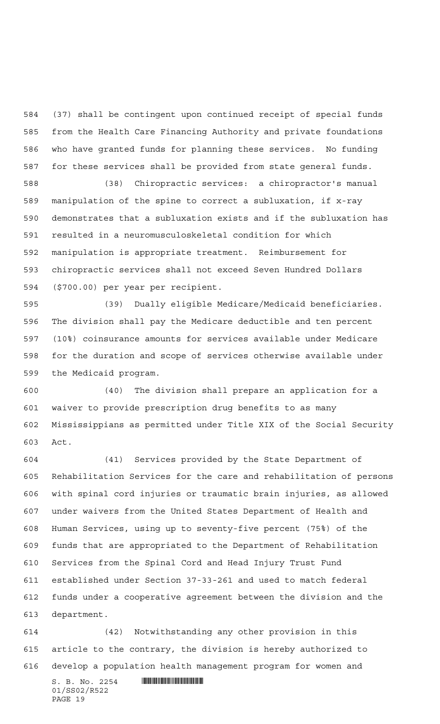(37) shall be contingent upon continued receipt of special funds from the Health Care Financing Authority and private foundations who have granted funds for planning these services. No funding for these services shall be provided from state general funds.

 (38) Chiropractic services: a chiropractor's manual manipulation of the spine to correct a subluxation, if x-ray demonstrates that a subluxation exists and if the subluxation has resulted in a neuromusculoskeletal condition for which manipulation is appropriate treatment. Reimbursement for chiropractic services shall not exceed Seven Hundred Dollars (\$700.00) per year per recipient.

 (39) Dually eligible Medicare/Medicaid beneficiaries. The division shall pay the Medicare deductible and ten percent (10%) coinsurance amounts for services available under Medicare for the duration and scope of services otherwise available under the Medicaid program.

 (40) The division shall prepare an application for a waiver to provide prescription drug benefits to as many Mississippians as permitted under Title XIX of the Social Security Act.

 (41) Services provided by the State Department of Rehabilitation Services for the care and rehabilitation of persons with spinal cord injuries or traumatic brain injuries, as allowed under waivers from the United States Department of Health and Human Services, using up to seventy-five percent (75%) of the funds that are appropriated to the Department of Rehabilitation Services from the Spinal Cord and Head Injury Trust Fund established under Section 37-33-261 and used to match federal funds under a cooperative agreement between the division and the department.

 (42) Notwithstanding any other provision in this article to the contrary, the division is hereby authorized to develop a population health management program for women and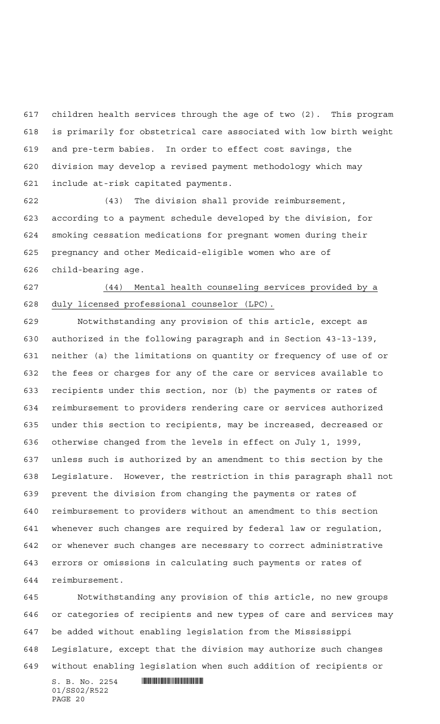children health services through the age of two (2). This program is primarily for obstetrical care associated with low birth weight and pre-term babies. In order to effect cost savings, the division may develop a revised payment methodology which may include at-risk capitated payments.

 (43) The division shall provide reimbursement, according to a payment schedule developed by the division, for smoking cessation medications for pregnant women during their pregnancy and other Medicaid-eligible women who are of child-bearing age.

 (44) Mental health counseling services provided by a duly licensed professional counselor (LPC).

 Notwithstanding any provision of this article, except as authorized in the following paragraph and in Section 43-13-139, neither (a) the limitations on quantity or frequency of use of or the fees or charges for any of the care or services available to recipients under this section, nor (b) the payments or rates of reimbursement to providers rendering care or services authorized under this section to recipients, may be increased, decreased or otherwise changed from the levels in effect on July 1, 1999, unless such is authorized by an amendment to this section by the Legislature. However, the restriction in this paragraph shall not prevent the division from changing the payments or rates of reimbursement to providers without an amendment to this section whenever such changes are required by federal law or regulation, or whenever such changes are necessary to correct administrative errors or omissions in calculating such payments or rates of reimbursement.

 Notwithstanding any provision of this article, no new groups or categories of recipients and new types of care and services may be added without enabling legislation from the Mississippi Legislature, except that the division may authorize such changes without enabling legislation when such addition of recipients or